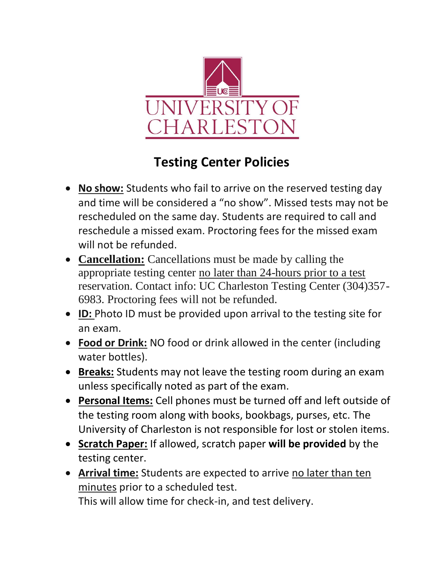

## **Testing Center Policies**

- **No show:** Students who fail to arrive on the reserved testing day and time will be considered a "no show". Missed tests may not be rescheduled on the same day. Students are required to call and reschedule a missed exam. Proctoring fees for the missed exam will not be refunded.
- **Cancellation:** Cancellations must be made by calling the appropriate testing center no later than 24-hours prior to a test reservation. Contact info: UC Charleston Testing Center (304)357- 6983. Proctoring fees will not be refunded.
- **ID:** Photo ID must be provided upon arrival to the testing site for an exam.
- **Food or Drink:** NO food or drink allowed in the center (including water bottles).
- **Breaks:** Students may not leave the testing room during an exam unless specifically noted as part of the exam.
- **Personal Items:** Cell phones must be turned off and left outside of the testing room along with books, bookbags, purses, etc. The University of Charleston is not responsible for lost or stolen items.
- **Scratch Paper:** If allowed, scratch paper **will be provided** by the testing center.
- **Arrival time:** Students are expected to arrive no later than ten minutes prior to a scheduled test. This will allow time for check-in, and test delivery.